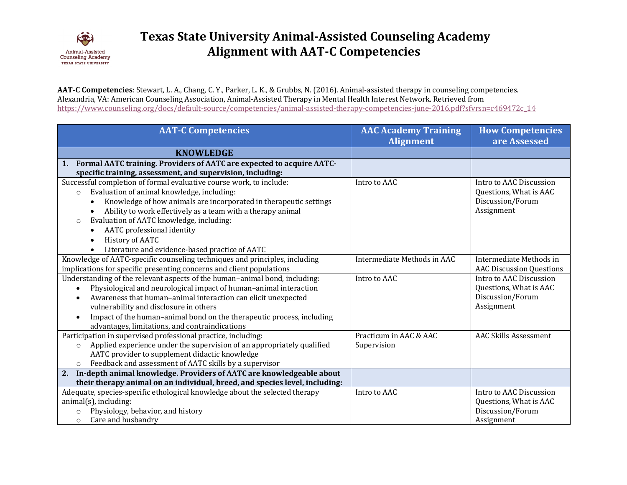

AAT-C Competencies: Stewart, L. A., Chang, C. Y., Parker, L. K., & Grubbs, N. (2016). Animal-assisted therapy in counseling competencies. Alexandria, VA: American Counseling Association, Animal-Assisted Therapy in Mental Health Interest Network. Retrieved from https://www.counseling.org/docs/default-source/competencies/animal-assisted-therapy-competencies-june-2016.pdf?sfvrsn=c469472c\_14

| <b>AAT-C Competencies</b>                                                         | <b>AAC Academy Training</b><br><b>Alignment</b> | <b>How Competencies</b><br>are Assessed |
|-----------------------------------------------------------------------------------|-------------------------------------------------|-----------------------------------------|
| <b>KNOWLEDGE</b>                                                                  |                                                 |                                         |
| 1. Formal AATC training. Providers of AATC are expected to acquire AATC-          |                                                 |                                         |
| specific training, assessment, and supervision, including:                        |                                                 |                                         |
| Successful completion of formal evaluative course work, to include:               | Intro to AAC                                    | Intro to AAC Discussion                 |
| Evaluation of animal knowledge, including:<br>$\circ$                             |                                                 | Questions, What is AAC                  |
| Knowledge of how animals are incorporated in therapeutic settings<br>$\bullet$    |                                                 | Discussion/Forum                        |
| Ability to work effectively as a team with a therapy animal                       |                                                 | Assignment                              |
| Evaluation of AATC knowledge, including:<br>$\circ$                               |                                                 |                                         |
| AATC professional identity<br>$\bullet$                                           |                                                 |                                         |
| History of AATC                                                                   |                                                 |                                         |
| Literature and evidence-based practice of AATC<br>$\bullet$                       |                                                 |                                         |
| Knowledge of AATC-specific counseling techniques and principles, including        | Intermediate Methods in AAC                     | Intermediate Methods in                 |
| implications for specific presenting concerns and client populations              |                                                 | <b>AAC Discussion Questions</b>         |
| Understanding of the relevant aspects of the human-animal bond, including:        | Intro to AAC                                    | Intro to AAC Discussion                 |
| Physiological and neurological impact of human-animal interaction                 |                                                 | Questions, What is AAC                  |
| Awareness that human-animal interaction can elicit unexpected                     |                                                 | Discussion/Forum                        |
| vulnerability and disclosure in others                                            |                                                 | Assignment                              |
| Impact of the human-animal bond on the therapeutic process, including             |                                                 |                                         |
| advantages, limitations, and contraindications                                    |                                                 |                                         |
| Participation in supervised professional practice, including:                     | Practicum in AAC & AAC                          | <b>AAC Skills Assessment</b>            |
| Applied experience under the supervision of an appropriately qualified<br>$\circ$ | Supervision                                     |                                         |
| AATC provider to supplement didactic knowledge                                    |                                                 |                                         |
| Feedback and assessment of AATC skills by a supervisor<br>$\circ$                 |                                                 |                                         |
| 2. In-depth animal knowledge. Providers of AATC are knowledgeable about           |                                                 |                                         |
| their therapy animal on an individual, breed, and species level, including:       |                                                 |                                         |
| Adequate, species-specific ethological knowledge about the selected therapy       | Intro to AAC                                    | Intro to AAC Discussion                 |
| $animal(s)$ , including:                                                          |                                                 | Questions, What is AAC                  |
| Physiology, behavior, and history<br>$\circ$                                      |                                                 | Discussion/Forum                        |
| Care and husbandry<br>$\circ$                                                     |                                                 | Assignment                              |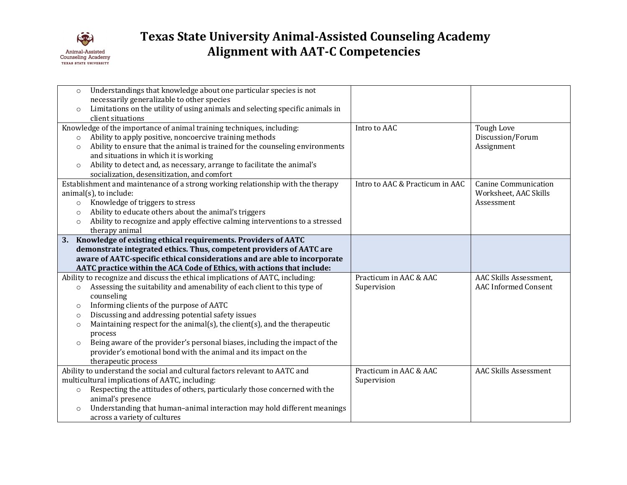

| necessarily generalizable to other species<br>Limitations on the utility of using animals and selecting specific animals in<br>$\circ$<br>client situations<br>Knowledge of the importance of animal training techniques, including:<br>Intro to AAC<br><b>Tough Love</b><br>Ability to apply positive, noncoercive training methods<br>Discussion/Forum<br>$\circ$<br>Ability to ensure that the animal is trained for the counseling environments<br>Assignment<br>$\circ$<br>and situations in which it is working<br>Ability to detect and, as necessary, arrange to facilitate the animal's<br>$\circ$<br>socialization, desensitization, and comfort<br>Establishment and maintenance of a strong working relationship with the therapy<br>Intro to AAC & Practicum in AAC<br><b>Canine Communication</b><br>$animal(s)$ , to include:<br>Worksheet, AAC Skills<br>Knowledge of triggers to stress<br>Assessment<br>$\circ$<br>Ability to educate others about the animal's triggers<br>$\circ$<br>Ability to recognize and apply effective calming interventions to a stressed<br>$\circ$<br>therapy animal<br>Knowledge of existing ethical requirements. Providers of AATC<br>demonstrate integrated ethics. Thus, competent providers of AATC are<br>aware of AATC-specific ethical considerations and are able to incorporate<br>AATC practice within the ACA Code of Ethics, with actions that include:<br>Ability to recognize and discuss the ethical implications of AATC, including:<br>Practicum in AAC & AAC<br>AAC Skills Assessment,<br>Assessing the suitability and amenability of each client to this type of<br>Supervision<br><b>AAC Informed Consent</b><br>$\circ$<br>counseling<br>Informing clients of the purpose of AATC<br>$\circ$<br>Discussing and addressing potential safety issues<br>$\circ$<br>Maintaining respect for the animal(s), the client(s), and the therapeutic<br>$\circ$ | Understandings that knowledge about one particular species is not<br>$\circ$ |  |
|----------------------------------------------------------------------------------------------------------------------------------------------------------------------------------------------------------------------------------------------------------------------------------------------------------------------------------------------------------------------------------------------------------------------------------------------------------------------------------------------------------------------------------------------------------------------------------------------------------------------------------------------------------------------------------------------------------------------------------------------------------------------------------------------------------------------------------------------------------------------------------------------------------------------------------------------------------------------------------------------------------------------------------------------------------------------------------------------------------------------------------------------------------------------------------------------------------------------------------------------------------------------------------------------------------------------------------------------------------------------------------------------------------------------------------------------------------------------------------------------------------------------------------------------------------------------------------------------------------------------------------------------------------------------------------------------------------------------------------------------------------------------------------------------------------------------------------------------------------------------------------------------------------------------------|------------------------------------------------------------------------------|--|
|                                                                                                                                                                                                                                                                                                                                                                                                                                                                                                                                                                                                                                                                                                                                                                                                                                                                                                                                                                                                                                                                                                                                                                                                                                                                                                                                                                                                                                                                                                                                                                                                                                                                                                                                                                                                                                                                                                                            |                                                                              |  |
|                                                                                                                                                                                                                                                                                                                                                                                                                                                                                                                                                                                                                                                                                                                                                                                                                                                                                                                                                                                                                                                                                                                                                                                                                                                                                                                                                                                                                                                                                                                                                                                                                                                                                                                                                                                                                                                                                                                            |                                                                              |  |
|                                                                                                                                                                                                                                                                                                                                                                                                                                                                                                                                                                                                                                                                                                                                                                                                                                                                                                                                                                                                                                                                                                                                                                                                                                                                                                                                                                                                                                                                                                                                                                                                                                                                                                                                                                                                                                                                                                                            |                                                                              |  |
|                                                                                                                                                                                                                                                                                                                                                                                                                                                                                                                                                                                                                                                                                                                                                                                                                                                                                                                                                                                                                                                                                                                                                                                                                                                                                                                                                                                                                                                                                                                                                                                                                                                                                                                                                                                                                                                                                                                            |                                                                              |  |
|                                                                                                                                                                                                                                                                                                                                                                                                                                                                                                                                                                                                                                                                                                                                                                                                                                                                                                                                                                                                                                                                                                                                                                                                                                                                                                                                                                                                                                                                                                                                                                                                                                                                                                                                                                                                                                                                                                                            |                                                                              |  |
|                                                                                                                                                                                                                                                                                                                                                                                                                                                                                                                                                                                                                                                                                                                                                                                                                                                                                                                                                                                                                                                                                                                                                                                                                                                                                                                                                                                                                                                                                                                                                                                                                                                                                                                                                                                                                                                                                                                            |                                                                              |  |
|                                                                                                                                                                                                                                                                                                                                                                                                                                                                                                                                                                                                                                                                                                                                                                                                                                                                                                                                                                                                                                                                                                                                                                                                                                                                                                                                                                                                                                                                                                                                                                                                                                                                                                                                                                                                                                                                                                                            |                                                                              |  |
|                                                                                                                                                                                                                                                                                                                                                                                                                                                                                                                                                                                                                                                                                                                                                                                                                                                                                                                                                                                                                                                                                                                                                                                                                                                                                                                                                                                                                                                                                                                                                                                                                                                                                                                                                                                                                                                                                                                            |                                                                              |  |
|                                                                                                                                                                                                                                                                                                                                                                                                                                                                                                                                                                                                                                                                                                                                                                                                                                                                                                                                                                                                                                                                                                                                                                                                                                                                                                                                                                                                                                                                                                                                                                                                                                                                                                                                                                                                                                                                                                                            |                                                                              |  |
|                                                                                                                                                                                                                                                                                                                                                                                                                                                                                                                                                                                                                                                                                                                                                                                                                                                                                                                                                                                                                                                                                                                                                                                                                                                                                                                                                                                                                                                                                                                                                                                                                                                                                                                                                                                                                                                                                                                            |                                                                              |  |
|                                                                                                                                                                                                                                                                                                                                                                                                                                                                                                                                                                                                                                                                                                                                                                                                                                                                                                                                                                                                                                                                                                                                                                                                                                                                                                                                                                                                                                                                                                                                                                                                                                                                                                                                                                                                                                                                                                                            |                                                                              |  |
|                                                                                                                                                                                                                                                                                                                                                                                                                                                                                                                                                                                                                                                                                                                                                                                                                                                                                                                                                                                                                                                                                                                                                                                                                                                                                                                                                                                                                                                                                                                                                                                                                                                                                                                                                                                                                                                                                                                            |                                                                              |  |
|                                                                                                                                                                                                                                                                                                                                                                                                                                                                                                                                                                                                                                                                                                                                                                                                                                                                                                                                                                                                                                                                                                                                                                                                                                                                                                                                                                                                                                                                                                                                                                                                                                                                                                                                                                                                                                                                                                                            |                                                                              |  |
|                                                                                                                                                                                                                                                                                                                                                                                                                                                                                                                                                                                                                                                                                                                                                                                                                                                                                                                                                                                                                                                                                                                                                                                                                                                                                                                                                                                                                                                                                                                                                                                                                                                                                                                                                                                                                                                                                                                            |                                                                              |  |
|                                                                                                                                                                                                                                                                                                                                                                                                                                                                                                                                                                                                                                                                                                                                                                                                                                                                                                                                                                                                                                                                                                                                                                                                                                                                                                                                                                                                                                                                                                                                                                                                                                                                                                                                                                                                                                                                                                                            |                                                                              |  |
|                                                                                                                                                                                                                                                                                                                                                                                                                                                                                                                                                                                                                                                                                                                                                                                                                                                                                                                                                                                                                                                                                                                                                                                                                                                                                                                                                                                                                                                                                                                                                                                                                                                                                                                                                                                                                                                                                                                            |                                                                              |  |
|                                                                                                                                                                                                                                                                                                                                                                                                                                                                                                                                                                                                                                                                                                                                                                                                                                                                                                                                                                                                                                                                                                                                                                                                                                                                                                                                                                                                                                                                                                                                                                                                                                                                                                                                                                                                                                                                                                                            |                                                                              |  |
|                                                                                                                                                                                                                                                                                                                                                                                                                                                                                                                                                                                                                                                                                                                                                                                                                                                                                                                                                                                                                                                                                                                                                                                                                                                                                                                                                                                                                                                                                                                                                                                                                                                                                                                                                                                                                                                                                                                            |                                                                              |  |
|                                                                                                                                                                                                                                                                                                                                                                                                                                                                                                                                                                                                                                                                                                                                                                                                                                                                                                                                                                                                                                                                                                                                                                                                                                                                                                                                                                                                                                                                                                                                                                                                                                                                                                                                                                                                                                                                                                                            |                                                                              |  |
|                                                                                                                                                                                                                                                                                                                                                                                                                                                                                                                                                                                                                                                                                                                                                                                                                                                                                                                                                                                                                                                                                                                                                                                                                                                                                                                                                                                                                                                                                                                                                                                                                                                                                                                                                                                                                                                                                                                            |                                                                              |  |
|                                                                                                                                                                                                                                                                                                                                                                                                                                                                                                                                                                                                                                                                                                                                                                                                                                                                                                                                                                                                                                                                                                                                                                                                                                                                                                                                                                                                                                                                                                                                                                                                                                                                                                                                                                                                                                                                                                                            |                                                                              |  |
|                                                                                                                                                                                                                                                                                                                                                                                                                                                                                                                                                                                                                                                                                                                                                                                                                                                                                                                                                                                                                                                                                                                                                                                                                                                                                                                                                                                                                                                                                                                                                                                                                                                                                                                                                                                                                                                                                                                            |                                                                              |  |
|                                                                                                                                                                                                                                                                                                                                                                                                                                                                                                                                                                                                                                                                                                                                                                                                                                                                                                                                                                                                                                                                                                                                                                                                                                                                                                                                                                                                                                                                                                                                                                                                                                                                                                                                                                                                                                                                                                                            |                                                                              |  |
|                                                                                                                                                                                                                                                                                                                                                                                                                                                                                                                                                                                                                                                                                                                                                                                                                                                                                                                                                                                                                                                                                                                                                                                                                                                                                                                                                                                                                                                                                                                                                                                                                                                                                                                                                                                                                                                                                                                            |                                                                              |  |
|                                                                                                                                                                                                                                                                                                                                                                                                                                                                                                                                                                                                                                                                                                                                                                                                                                                                                                                                                                                                                                                                                                                                                                                                                                                                                                                                                                                                                                                                                                                                                                                                                                                                                                                                                                                                                                                                                                                            |                                                                              |  |
| process                                                                                                                                                                                                                                                                                                                                                                                                                                                                                                                                                                                                                                                                                                                                                                                                                                                                                                                                                                                                                                                                                                                                                                                                                                                                                                                                                                                                                                                                                                                                                                                                                                                                                                                                                                                                                                                                                                                    |                                                                              |  |
| Being aware of the provider's personal biases, including the impact of the<br>$\circ$                                                                                                                                                                                                                                                                                                                                                                                                                                                                                                                                                                                                                                                                                                                                                                                                                                                                                                                                                                                                                                                                                                                                                                                                                                                                                                                                                                                                                                                                                                                                                                                                                                                                                                                                                                                                                                      |                                                                              |  |
| provider's emotional bond with the animal and its impact on the<br>therapeutic process                                                                                                                                                                                                                                                                                                                                                                                                                                                                                                                                                                                                                                                                                                                                                                                                                                                                                                                                                                                                                                                                                                                                                                                                                                                                                                                                                                                                                                                                                                                                                                                                                                                                                                                                                                                                                                     |                                                                              |  |
| Ability to understand the social and cultural factors relevant to AATC and<br>Practicum in AAC & AAC<br><b>AAC Skills Assessment</b>                                                                                                                                                                                                                                                                                                                                                                                                                                                                                                                                                                                                                                                                                                                                                                                                                                                                                                                                                                                                                                                                                                                                                                                                                                                                                                                                                                                                                                                                                                                                                                                                                                                                                                                                                                                       |                                                                              |  |
| multicultural implications of AATC, including:                                                                                                                                                                                                                                                                                                                                                                                                                                                                                                                                                                                                                                                                                                                                                                                                                                                                                                                                                                                                                                                                                                                                                                                                                                                                                                                                                                                                                                                                                                                                                                                                                                                                                                                                                                                                                                                                             |                                                                              |  |
| Supervision<br>Respecting the attitudes of others, particularly those concerned with the                                                                                                                                                                                                                                                                                                                                                                                                                                                                                                                                                                                                                                                                                                                                                                                                                                                                                                                                                                                                                                                                                                                                                                                                                                                                                                                                                                                                                                                                                                                                                                                                                                                                                                                                                                                                                                   |                                                                              |  |
| $\circ$<br>animal's presence                                                                                                                                                                                                                                                                                                                                                                                                                                                                                                                                                                                                                                                                                                                                                                                                                                                                                                                                                                                                                                                                                                                                                                                                                                                                                                                                                                                                                                                                                                                                                                                                                                                                                                                                                                                                                                                                                               |                                                                              |  |
| Understanding that human-animal interaction may hold different meanings<br>$\circ$                                                                                                                                                                                                                                                                                                                                                                                                                                                                                                                                                                                                                                                                                                                                                                                                                                                                                                                                                                                                                                                                                                                                                                                                                                                                                                                                                                                                                                                                                                                                                                                                                                                                                                                                                                                                                                         |                                                                              |  |
| across a variety of cultures                                                                                                                                                                                                                                                                                                                                                                                                                                                                                                                                                                                                                                                                                                                                                                                                                                                                                                                                                                                                                                                                                                                                                                                                                                                                                                                                                                                                                                                                                                                                                                                                                                                                                                                                                                                                                                                                                               |                                                                              |  |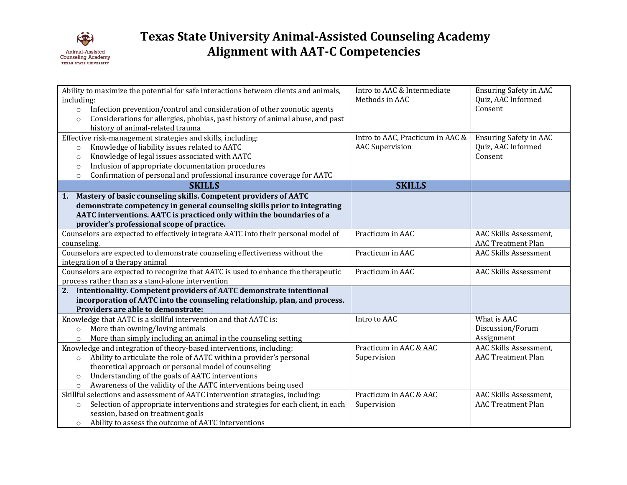

| Ability to maximize the potential for safe interactions between clients and animals,      | Intro to AAC & Intermediate      | <b>Ensuring Safety in AAC</b> |
|-------------------------------------------------------------------------------------------|----------------------------------|-------------------------------|
| including:                                                                                | Methods in AAC                   | Quiz, AAC Informed            |
| Infection prevention/control and consideration of other zoonotic agents<br>$\circ$        |                                  | Consent                       |
| Considerations for allergies, phobias, past history of animal abuse, and past<br>$\circ$  |                                  |                               |
| history of animal-related trauma                                                          |                                  |                               |
| Effective risk-management strategies and skills, including:                               | Intro to AAC, Practicum in AAC & | <b>Ensuring Safety in AAC</b> |
| Knowledge of liability issues related to AATC<br>$\circ$                                  | <b>AAC</b> Supervision           | Quiz, AAC Informed            |
| Knowledge of legal issues associated with AATC<br>$\circ$                                 |                                  | Consent                       |
| Inclusion of appropriate documentation procedures<br>$\circ$                              |                                  |                               |
| Confirmation of personal and professional insurance coverage for AATC<br>$\circ$          |                                  |                               |
| <b>SKILLS</b>                                                                             | <b>SKILLS</b>                    |                               |
| 1. Mastery of basic counseling skills. Competent providers of AATC                        |                                  |                               |
| demonstrate competency in general counseling skills prior to integrating                  |                                  |                               |
| AATC interventions. AATC is practiced only within the boundaries of a                     |                                  |                               |
| provider's professional scope of practice.                                                |                                  |                               |
| Counselors are expected to effectively integrate AATC into their personal model of        | Practicum in AAC                 | AAC Skills Assessment,        |
| counseling.                                                                               |                                  | <b>AAC Treatment Plan</b>     |
| Counselors are expected to demonstrate counseling effectiveness without the               | Practicum in AAC                 | <b>AAC Skills Assessment</b>  |
| integration of a therapy animal                                                           |                                  |                               |
| Counselors are expected to recognize that AATC is used to enhance the therapeutic         | Practicum in AAC                 | <b>AAC Skills Assessment</b>  |
| process rather than as a stand-alone intervention                                         |                                  |                               |
| 2. Intentionality. Competent providers of AATC demonstrate intentional                    |                                  |                               |
| incorporation of AATC into the counseling relationship, plan, and process.                |                                  |                               |
| Providers are able to demonstrate:                                                        |                                  |                               |
| Knowledge that AATC is a skillful intervention and that AATC is:                          | Intro to AAC                     | What is AAC                   |
| More than owning/loving animals<br>$\circ$                                                |                                  | Discussion/Forum              |
| More than simply including an animal in the counseling setting<br>$\circ$                 |                                  | Assignment                    |
| Knowledge and integration of theory-based interventions, including:                       | Practicum in AAC & AAC           | AAC Skills Assessment,        |
| Ability to articulate the role of AATC within a provider's personal<br>$\circ$            | Supervision                      | <b>AAC Treatment Plan</b>     |
| theoretical approach or personal model of counseling                                      |                                  |                               |
| Understanding of the goals of AATC interventions<br>$\circ$                               |                                  |                               |
| Awareness of the validity of the AATC interventions being used<br>$\circ$                 |                                  |                               |
| Skillful selections and assessment of AATC intervention strategies, including:            | Practicum in AAC & AAC           | AAC Skills Assessment,        |
| Selection of appropriate interventions and strategies for each client, in each<br>$\circ$ | Supervision                      | <b>AAC Treatment Plan</b>     |
| session, based on treatment goals                                                         |                                  |                               |
| Ability to assess the outcome of AATC interventions<br>$\circ$                            |                                  |                               |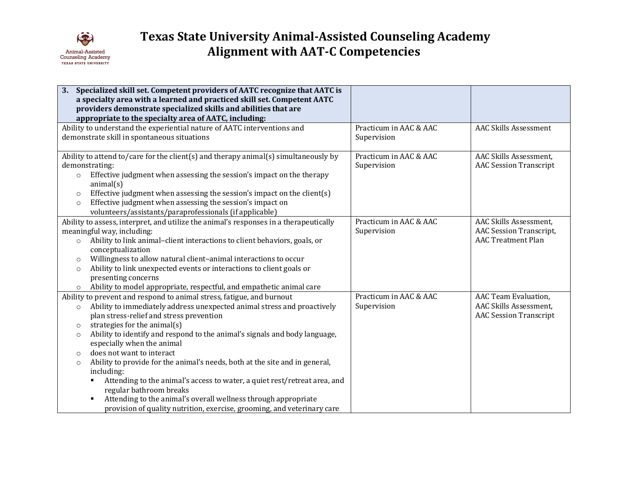

| 3. Specialized skill set. Competent providers of AATC recognize that AATC is<br>a specialty area with a learned and practiced skill set. Competent AATC<br>providers demonstrate specialized skills and abilities that are<br>appropriate to the specialty area of AATC, including:                                                                                                                                                                                                                                                                                                                                                                                                                                                                                                      |                                       |                                                                                       |
|------------------------------------------------------------------------------------------------------------------------------------------------------------------------------------------------------------------------------------------------------------------------------------------------------------------------------------------------------------------------------------------------------------------------------------------------------------------------------------------------------------------------------------------------------------------------------------------------------------------------------------------------------------------------------------------------------------------------------------------------------------------------------------------|---------------------------------------|---------------------------------------------------------------------------------------|
| Ability to understand the experiential nature of AATC interventions and<br>demonstrate skill in spontaneous situations                                                                                                                                                                                                                                                                                                                                                                                                                                                                                                                                                                                                                                                                   | Practicum in AAC & AAC<br>Supervision | <b>AAC Skills Assessment</b>                                                          |
| Ability to attend to/care for the client(s) and therapy animal(s) simultaneously by<br>demonstrating:<br>Effective judgment when assessing the session's impact on the therapy<br>$\circ$<br>animal(s)<br>Effective judgment when assessing the session's impact on the client(s)<br>$\circ$<br>Effective judgment when assessing the session's impact on<br>$\circ$<br>volunteers/assistants/paraprofessionals (if applicable)                                                                                                                                                                                                                                                                                                                                                          | Practicum in AAC & AAC<br>Supervision | AAC Skills Assessment,<br><b>AAC Session Transcript</b>                               |
| Ability to assess, interpret, and utilize the animal's responses in a therapeutically<br>meaningful way, including:<br>Ability to link animal-client interactions to client behaviors, goals, or<br>$\circ$<br>conceptualization<br>Willingness to allow natural client-animal interactions to occur<br>$\circ$<br>Ability to link unexpected events or interactions to client goals or<br>$\circ$<br>presenting concerns<br>Ability to model appropriate, respectful, and empathetic animal care<br>$\circ$                                                                                                                                                                                                                                                                             | Practicum in AAC & AAC<br>Supervision | AAC Skills Assessment,<br><b>AAC Session Transcript,</b><br><b>AAC Treatment Plan</b> |
| Ability to prevent and respond to animal stress, fatigue, and burnout<br>Ability to immediately address unexpected animal stress and proactively<br>$\circ$<br>plan stress-relief and stress prevention<br>strategies for the animal(s)<br>$\circ$<br>Ability to identify and respond to the animal's signals and body language,<br>$\circ$<br>especially when the animal<br>does not want to interact<br>$\circ$<br>Ability to provide for the animal's needs, both at the site and in general,<br>$\circ$<br>including:<br>Attending to the animal's access to water, a quiet rest/retreat area, and<br>٠<br>regular bathroom breaks<br>Attending to the animal's overall wellness through appropriate<br>٠<br>provision of quality nutrition, exercise, grooming, and veterinary care | Practicum in AAC & AAC<br>Supervision | AAC Team Evaluation,<br>AAC Skills Assessment,<br><b>AAC Session Transcript</b>       |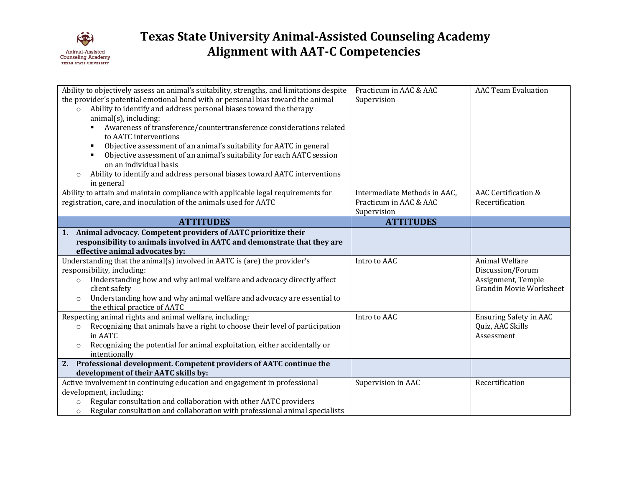

| Ability to objectively assess an animal's suitability, strengths, and limitations despite<br>the provider's potential emotional bond with or personal bias toward the animal<br>Ability to identify and address personal biases toward the therapy<br>$\circ$<br>$animal(s)$ , including:<br>Awareness of transference/countertransference considerations related<br>to AATC interventions<br>Objective assessment of an animal's suitability for AATC in general<br>Objective assessment of an animal's suitability for each AATC session<br>on an individual basis<br>Ability to identify and address personal biases toward AATC interventions<br>in general | Practicum in AAC & AAC<br>Supervision                                 | <b>AAC Team Evaluation</b>                                                                 |
|-----------------------------------------------------------------------------------------------------------------------------------------------------------------------------------------------------------------------------------------------------------------------------------------------------------------------------------------------------------------------------------------------------------------------------------------------------------------------------------------------------------------------------------------------------------------------------------------------------------------------------------------------------------------|-----------------------------------------------------------------------|--------------------------------------------------------------------------------------------|
| Ability to attain and maintain compliance with applicable legal requirements for<br>registration, care, and inoculation of the animals used for AATC                                                                                                                                                                                                                                                                                                                                                                                                                                                                                                            | Intermediate Methods in AAC,<br>Practicum in AAC & AAC<br>Supervision | <b>AAC Certification &amp;</b><br>Recertification                                          |
| <b>ATTITUDES</b>                                                                                                                                                                                                                                                                                                                                                                                                                                                                                                                                                                                                                                                | <b>ATTITUDES</b>                                                      |                                                                                            |
| 1. Animal advocacy. Competent providers of AATC prioritize their<br>responsibility to animals involved in AATC and demonstrate that they are<br>effective animal advocates by:                                                                                                                                                                                                                                                                                                                                                                                                                                                                                  |                                                                       |                                                                                            |
| Understanding that the animal(s) involved in AATC is (are) the provider's<br>responsibility, including:<br>Understanding how and why animal welfare and advocacy directly affect<br>$\circ$<br>client safety<br>Understanding how and why animal welfare and advocacy are essential to<br>$\circ$<br>the ethical practice of AATC                                                                                                                                                                                                                                                                                                                               | Intro to AAC                                                          | Animal Welfare<br>Discussion/Forum<br>Assignment, Temple<br><b>Grandin Movie Worksheet</b> |
| Respecting animal rights and animal welfare, including:<br>Recognizing that animals have a right to choose their level of participation<br>$\circ$<br>in AATC<br>Recognizing the potential for animal exploitation, either accidentally or<br>$\circ$<br>intentionally                                                                                                                                                                                                                                                                                                                                                                                          | Intro to AAC                                                          | <b>Ensuring Safety in AAC</b><br>Quiz, AAC Skills<br>Assessment                            |
| 2. Professional development. Competent providers of AATC continue the                                                                                                                                                                                                                                                                                                                                                                                                                                                                                                                                                                                           |                                                                       |                                                                                            |
| development of their AATC skills by:<br>Active involvement in continuing education and engagement in professional<br>development, including:<br>Regular consultation and collaboration with other AATC providers<br>$\circ$<br>Regular consultation and collaboration with professional animal specialists<br>$\circ$                                                                                                                                                                                                                                                                                                                                           | Supervision in AAC                                                    | Recertification                                                                            |